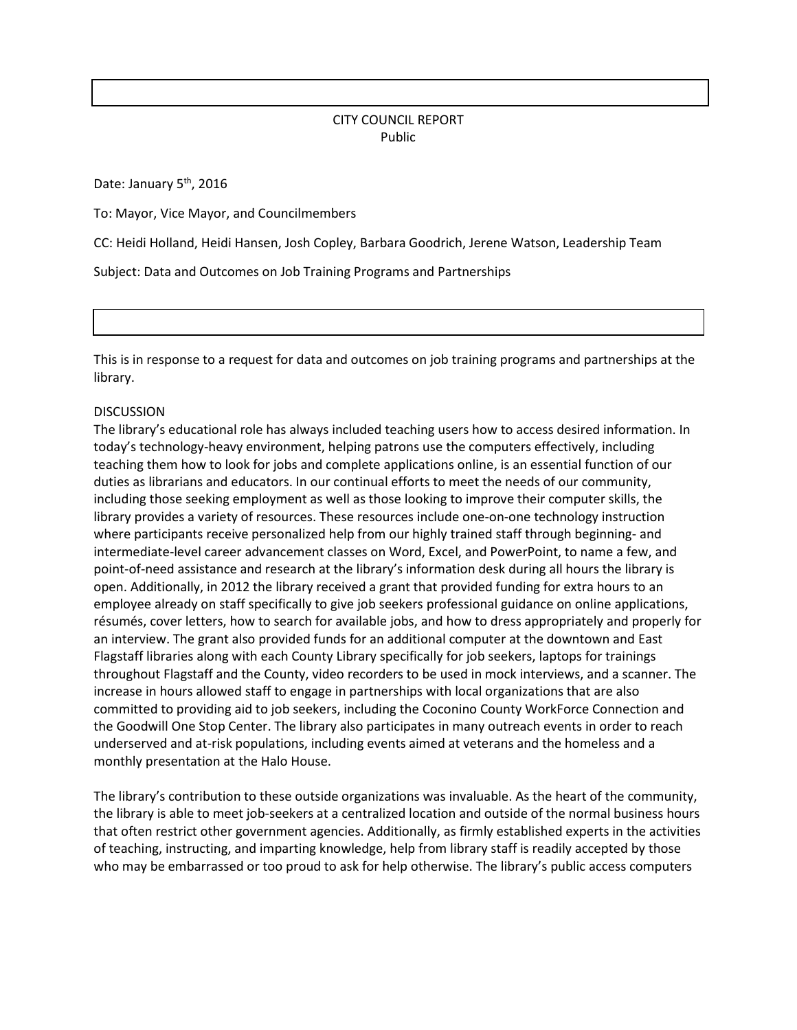## CITY COUNCIL REPORT Public

Date: January 5<sup>th</sup>, 2016

To: Mayor, Vice Mayor, and Councilmembers

CC: Heidi Holland, Heidi Hansen, Josh Copley, Barbara Goodrich, Jerene Watson, Leadership Team

Subject: Data and Outcomes on Job Training Programs and Partnerships

This is in response to a request for data and outcomes on job training programs and partnerships at the library.

## **DISCUSSION**

The library's educational role has always included teaching users how to access desired information. In today's technology-heavy environment, helping patrons use the computers effectively, including teaching them how to look for jobs and complete applications online, is an essential function of our duties as librarians and educators. In our continual efforts to meet the needs of our community, including those seeking employment as well as those looking to improve their computer skills, the library provides a variety of resources. These resources include one-on-one technology instruction where participants receive personalized help from our highly trained staff through beginning- and intermediate-level career advancement classes on Word, Excel, and PowerPoint, to name a few, and point-of-need assistance and research at the library's information desk during all hours the library is open. Additionally, in 2012 the library received a grant that provided funding for extra hours to an employee already on staff specifically to give job seekers professional guidance on online applications, résumés, cover letters, how to search for available jobs, and how to dress appropriately and properly for an interview. The grant also provided funds for an additional computer at the downtown and East Flagstaff libraries along with each County Library specifically for job seekers, laptops for trainings throughout Flagstaff and the County, video recorders to be used in mock interviews, and a scanner. The increase in hours allowed staff to engage in partnerships with local organizations that are also committed to providing aid to job seekers, including the Coconino County WorkForce Connection and the Goodwill One Stop Center. The library also participates in many outreach events in order to reach underserved and at-risk populations, including events aimed at veterans and the homeless and a monthly presentation at the Halo House.

The library's contribution to these outside organizations was invaluable. As the heart of the community, the library is able to meet job-seekers at a centralized location and outside of the normal business hours that often restrict other government agencies. Additionally, as firmly established experts in the activities of teaching, instructing, and imparting knowledge, help from library staff is readily accepted by those who may be embarrassed or too proud to ask for help otherwise. The library's public access computers